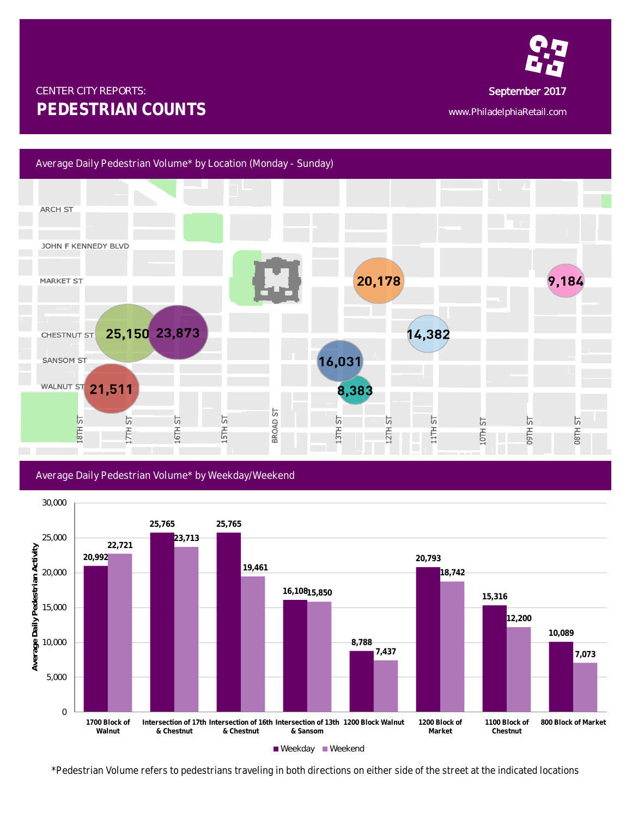

## CENTER CITY REPORTS: September 2017 **PEDESTRIAN COUNTS** www.PhiladelphiaRetail.com



Average Daily Pedestrian Volume\* by Weekday/Weekend



*<sup>\*</sup>Pedestrian Volume refers to pedestrians traveling in both directions on either side of the street at the indicated locations*